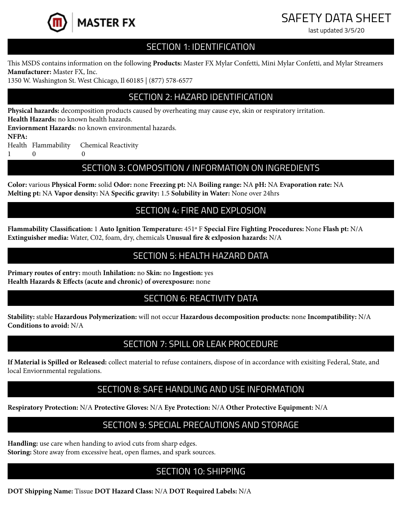

# SAFETY DATA SHEET

last updated 3/5/20

#### SECTION 1: IDENTIFICATION

This MSDS contains information on the following **Products:** Master FX Mylar Confetti, Mini Mylar Confetti, and Mylar Streamers **Manufacturer:** Master FX, Inc.

1350 W. Washington St. West Chicago, Il 60185 | (877) 578-6577

# SECTION 2: HAZARD IDENTIFICATION

**Physical hazards:** decomposition products caused by overheating may cause eye, skin or respiratory irritation.

**Health Hazards:** no known health hazards.

**Enviornment Hazards:** no known environmental hazards.

**NFPA:**

Health Flammability Chemical Reactivity

1 0 0

#### SECTION 3: COMPOSITION / INFORMATION ON INGREDIENTS

**Color:** various **Physical Form:** solid **Odor:** none **Freezing pt:** NA **Boiling range:** NA **pH:** NA **Evaporation rate:** NA **Melting pt:** NA **Vapor density:** NA **Specific gravity:** 1.5 **Solubility in Water:** None over 24hrs

# SECTION 4: FIRE AND EXPLOSION

**Flammability Classification:** 1 **Auto Ignition Temperature:** 451º F **Special Fire Fighting Procedures:** None **Flash pt:** N/A **Extinguisher media:** Water, C02, foam, dry, chemicals **Unusual fire & exlposion hazards:** N/A

## SECTION 5: HEALTH HAZARD DATA

**Primary routes of entry:** mouth **Inhilation:** no **Skin:** no **Ingestion:** yes **Health Hazards & Effects (acute and chronic) of overexposure:** none

#### SECTION 6: REACTIVITY DATA

**Stability:** stable **Hazardous Polymerization:** will not occur **Hazardous decomposition products:** none **Incompatibility:** N/A **Conditions to avoid:** N/A

#### SECTION 7: SPILL OR LEAK PROCEDURE

**If Material is Spilled or Released:** collect material to refuse containers, dispose of in accordance with exisiting Federal, State, and local Enviornmental regulations.

#### SECTION 8: SAFE HANDLING AND USE INFORMATION

**Respiratory Protection:** N/A **Protective Gloves:** N/A **Eye Protection:** N/A **Other Protective Equipment:** N/A

# SECTION 9: SPECIAL PRECAUTIONS AND STORAGE

**Handling:** use care when handing to aviod cuts from sharp edges. **Storing:** Store away from excessive heat, open flames, and spark sources.

# SECTION 10: SHIPPING

**DOT Shipping Name:** Tissue **DOT Hazard Class:** N/A **DOT Required Labels:** N/A